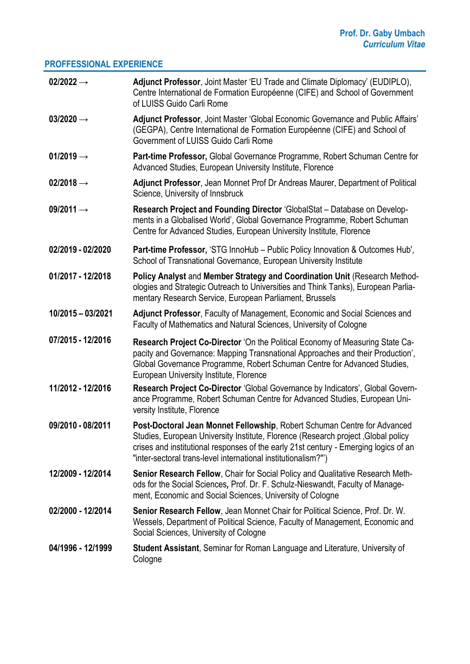## **PROFFESSIONAL EXPERIENCE**

| 02/2022 $\rightarrow$ | Adjunct Professor, Joint Master 'EU Trade and Climate Diplomacy' (EUDIPLO),<br>Centre International de Formation Européenne (CIFE) and School of Government<br>of LUISS Guido Carli Rome                                                                                                                                |
|-----------------------|-------------------------------------------------------------------------------------------------------------------------------------------------------------------------------------------------------------------------------------------------------------------------------------------------------------------------|
| $03/2020 \rightarrow$ | Adjunct Professor, Joint Master 'Global Economic Governance and Public Affairs'<br>(GEGPA), Centre International de Formation Européenne (CIFE) and School of<br>Government of LUISS Guido Carli Rome                                                                                                                   |
| 01/2019 $\rightarrow$ | Part-time Professor, Global Governance Programme, Robert Schuman Centre for<br>Advanced Studies, European University Institute, Florence                                                                                                                                                                                |
| 02/2018 $\rightarrow$ | Adjunct Professor, Jean Monnet Prof Dr Andreas Maurer, Department of Political<br>Science, University of Innsbruck                                                                                                                                                                                                      |
| 09/2011 $\rightarrow$ | Research Project and Founding Director 'GlobalStat - Database on Develop-<br>ments in a Globalised World', Global Governance Programme, Robert Schuman<br>Centre for Advanced Studies, European University Institute, Florence                                                                                          |
| 02/2019 - 02/2020     | Part-time Professor, 'STG InnoHub - Public Policy Innovation & Outcomes Hub',<br>School of Transnational Governance, European University Institute                                                                                                                                                                      |
| 01/2017 - 12/2018     | Policy Analyst and Member Strategy and Coordination Unit (Research Method-<br>ologies and Strategic Outreach to Universities and Think Tanks), European Parlia-<br>mentary Research Service, European Parliament, Brussels                                                                                              |
| 10/2015 - 03/2021     | Adjunct Professor, Faculty of Management, Economic and Social Sciences and<br>Faculty of Mathematics and Natural Sciences, University of Cologne                                                                                                                                                                        |
| 07/2015 - 12/2016     | Research Project Co-Director 'On the Political Economy of Measuring State Ca-<br>pacity and Governance: Mapping Transnational Approaches and their Production',<br>Global Governance Programme, Robert Schuman Centre for Advanced Studies,<br>European University Institute, Florence                                  |
| 11/2012 - 12/2016     | Research Project Co-Director 'Global Governance by Indicators', Global Govern-<br>ance Programme, Robert Schuman Centre for Advanced Studies, European Uni-<br>versity Institute, Florence                                                                                                                              |
| 09/2010 - 08/2011     | Post-Doctoral Jean Monnet Fellowship, Robert Schuman Centre for Advanced<br>Studies, European University Institute, Florence (Research project, Global policy<br>crises and institutional responses of the early 21st century - Emerging logics of an<br>"inter-sectoral trans-level international institutionalism?"') |
| 12/2009 - 12/2014     | Senior Research Fellow, Chair for Social Policy and Qualitative Research Meth-<br>ods for the Social Sciences, Prof. Dr. F. Schulz-Nieswandt, Faculty of Manage-<br>ment, Economic and Social Sciences, University of Cologne                                                                                           |
| 02/2000 - 12/2014     | Senior Research Fellow, Jean Monnet Chair for Political Science, Prof. Dr. W.<br>Wessels, Department of Political Science, Faculty of Management, Economic and<br>Social Sciences, University of Cologne                                                                                                                |
| 04/1996 - 12/1999     | <b>Student Assistant, Seminar for Roman Language and Literature, University of</b><br>Cologne                                                                                                                                                                                                                           |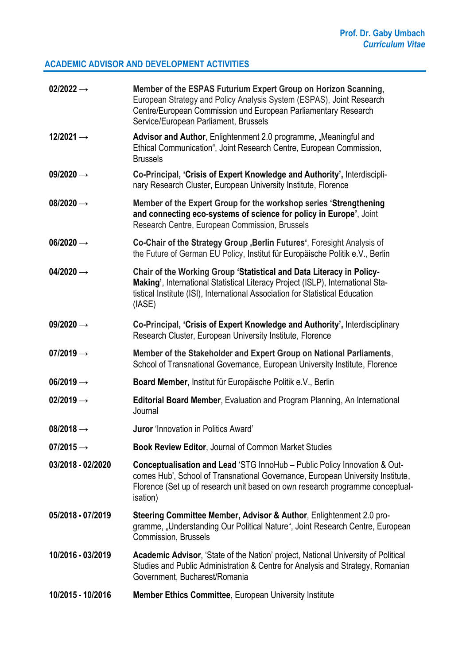## **ACADEMIC ADVISOR AND DEVELOPMENT ACTIVITIES**

| 02/2022 $\rightarrow$ | Member of the ESPAS Futurium Expert Group on Horizon Scanning,<br>European Strategy and Policy Analysis System (ESPAS), Joint Research<br>Centre/European Commission und European Parliamentary Research<br>Service/European Parliament, Brussels        |
|-----------------------|----------------------------------------------------------------------------------------------------------------------------------------------------------------------------------------------------------------------------------------------------------|
| 12/2021 $\rightarrow$ | Advisor and Author, Enlightenment 2.0 programme, "Meaningful and<br>Ethical Communication", Joint Research Centre, European Commission,<br><b>Brussels</b>                                                                                               |
| 09/2020 $\rightarrow$ | Co-Principal, 'Crisis of Expert Knowledge and Authority', Interdiscipli-<br>nary Research Cluster, European University Institute, Florence                                                                                                               |
| 08/2020 $\rightarrow$ | Member of the Expert Group for the workshop series 'Strengthening<br>and connecting eco-systems of science for policy in Europe', Joint<br>Research Centre, European Commission, Brussels                                                                |
| 06/2020 $\rightarrow$ | Co-Chair of the Strategy Group, Berlin Futures', Foresight Analysis of<br>the Future of German EU Policy, Institut für Europäische Politik e.V., Berlin                                                                                                  |
| 04/2020 $\rightarrow$ | Chair of the Working Group 'Statistical and Data Literacy in Policy-<br>Making', International Statistical Literacy Project (ISLP), International Sta-<br>tistical Institute (ISI), International Association for Statistical Education<br>(IASE)        |
| 09/2020 $\rightarrow$ | Co-Principal, 'Crisis of Expert Knowledge and Authority', Interdisciplinary<br>Research Cluster, European University Institute, Florence                                                                                                                 |
| 07/2019 $\rightarrow$ | Member of the Stakeholder and Expert Group on National Parliaments,<br>School of Transnational Governance, European University Institute, Florence                                                                                                       |
| 06/2019 $\rightarrow$ | Board Member, Institut für Europäische Politik e.V., Berlin                                                                                                                                                                                              |
| 02/2019 $\rightarrow$ | <b>Editorial Board Member, Evaluation and Program Planning, An International</b><br>Journal                                                                                                                                                              |
| 08/2018 $\rightarrow$ | <b>Juror</b> 'Innovation in Politics Award'                                                                                                                                                                                                              |
| 07/2015 $\rightarrow$ | <b>Book Review Editor, Journal of Common Market Studies</b>                                                                                                                                                                                              |
| 03/2018 - 02/2020     | Conceptualisation and Lead 'STG InnoHub - Public Policy Innovation & Out-<br>comes Hub', School of Transnational Governance, European University Institute,<br>Florence (Set up of research unit based on own research programme conceptual-<br>isation) |
| 05/2018 - 07/2019     | Steering Committee Member, Advisor & Author, Enlightenment 2.0 pro-<br>gramme, "Understanding Our Political Nature", Joint Research Centre, European<br><b>Commission, Brussels</b>                                                                      |
| 10/2016 - 03/2019     | <b>Academic Advisor, 'State of the Nation' project, National University of Political</b><br>Studies and Public Administration & Centre for Analysis and Strategy, Romanian<br>Government, Bucharest/Romania                                              |
| 10/2015 - 10/2016     | <b>Member Ethics Committee, European University Institute</b>                                                                                                                                                                                            |
|                       |                                                                                                                                                                                                                                                          |